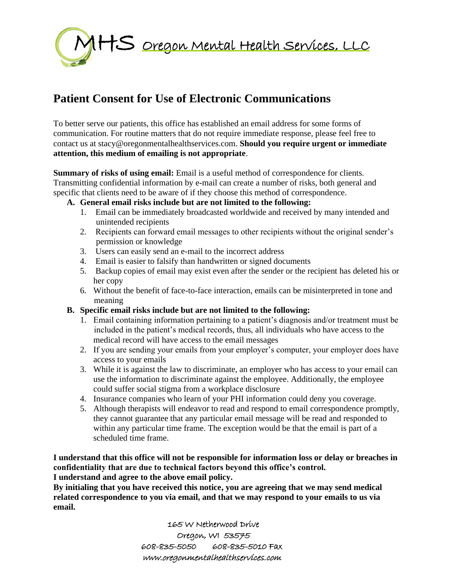

## **Patient Consent for Use of Electronic Communications**

To better serve our patients, this office has established an email address for some forms of communication. For routine matters that do not require immediate response, please feel free to contact us at stacy@oregonmentalhealthservices.com. **Should you require urgent or immediate attention, this medium of emailing is not appropriate**.

**Summary of risks of using email:** Email is a useful method of correspondence for clients. Transmitting confidential information by e-mail can create a number of risks, both general and specific that clients need to be aware of if they choose this method of correspondence.

## **A. General email risks include but are not limited to the following:**

- 1. Email can be immediately broadcasted worldwide and received by many intended and unintended recipients
- 2. Recipients can forward email messages to other recipients without the original sender's permission or knowledge
- 3. Users can easily send an e-mail to the incorrect address
- 4. Email is easier to falsify than handwritten or signed documents
- 5. Backup copies of email may exist even after the sender or the recipient has deleted his or her copy
- 6. Without the benefit of face-to-face interaction, emails can be misinterpreted in tone and meaning

## **B. Specific email risks include but are not limited to the following:**

- 1. Email containing information pertaining to a patient's diagnosis and/or treatment must be included in the patient's medical records, thus, all individuals who have access to the medical record will have access to the email messages
- 2. If you are sending your emails from your employer's computer, your employer does have access to your emails
- 3. While it is against the law to discriminate, an employer who has access to your email can use the information to discriminate against the employee. Additionally, the employee could suffer social stigma from a workplace disclosure
- 4. Insurance companies who learn of your PHI information could deny you coverage.
- 5. Although therapists will endeavor to read and respond to email correspondence promptly, they cannot guarantee that any particular email message will be read and responded to within any particular time frame. The exception would be that the email is part of a scheduled time frame.

**I understand that this office will not be responsible for information loss or delay or breaches in confidentiality that are due to technical factors beyond this office's control.** 

**I understand and agree to the above email policy.** 

**By initialing that you have received this notice, you are agreeing that we may send medical related correspondence to you via email, and that we may respond to your emails to us via email.**

> 165 W Netherwood Drive Oregon, WI 53575 608-835-5050 608-835-5010 Fax www.oregonmentalhealthservices.com